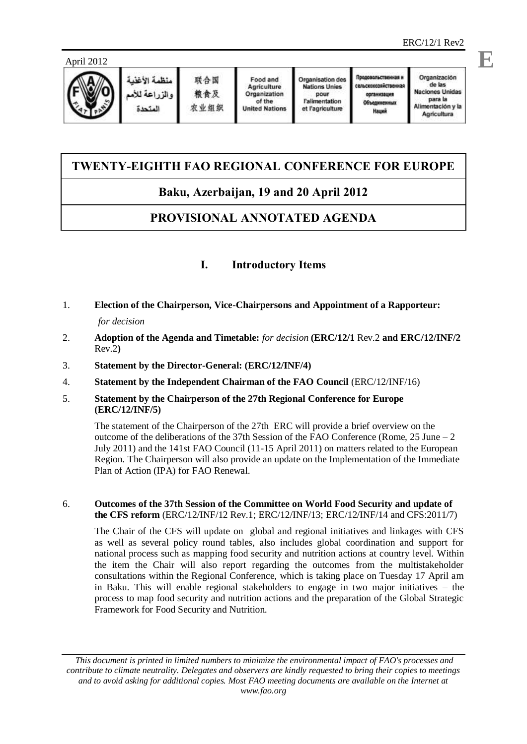



# **TWENTY-EIGHTH FAO REGIONAL CONFERENCE FOR EUROPE**

# **Baku, Azerbaijan, 19 and 20 April 2012**

# **PROVISIONAL ANNOTATED AGENDA**

## **I. Introductory Items**

1. **Election of the Chairperson, Vice-Chairpersons and Appointment of a Rapporteur:** 

### *for decision*

- 2. **Adoption of the Agenda and Timetable:** *for decision* **(ERC/12/1** Rev.2 **and ERC/12/INF/2** Rev.2**)**
- 3. **Statement by the Director-General: (ERC/12/INF/4)**
- 4. **Statement by the Independent Chairman of the FAO Council** (ERC/12/INF/16)
- 5. **Statement by the Chairperson of the 27th Regional Conference for Europe (ERC/12/INF/5)**

The statement of the Chairperson of the 27th ERC will provide a brief overview on the outcome of the deliberations of the 37th Session of the FAO Conference (Rome, 25 June  $-2$ ) July 2011) and the 141st FAO Council (11-15 April 2011) on matters related to the European Region. The Chairperson will also provide an update on the Implementation of the Immediate Plan of Action (IPA) for FAO Renewal.

### 6. **Outcomes of the 37th Session of the Committee on World Food Security and update of the CFS reform** (ERC/12/INF/12 Rev.1; ERC/12/INF/13; ERC/12/INF/14 and CFS:2011/7)

The Chair of the CFS will update on global and regional initiatives and linkages with CFS as well as several policy round tables, also includes global coordination and support for national process such as mapping food security and nutrition actions at country level. Within the item the Chair will also report regarding the outcomes from the multistakeholder consultations within the Regional Conference, which is taking place on Tuesday 17 April am in Baku. This will enable regional stakeholders to engage in two major initiatives – the process to map food security and nutrition actions and the preparation of the Global Strategic Framework for Food Security and Nutrition.

*This document is printed in limited numbers to minimize the environmental impact of FAO's processes and contribute to climate neutrality. Delegates and observers are kindly requested to bring their copies to meetings and to avoid asking for additional copies. Most FAO meeting documents are available on the Internet at www.fao.org*

**E**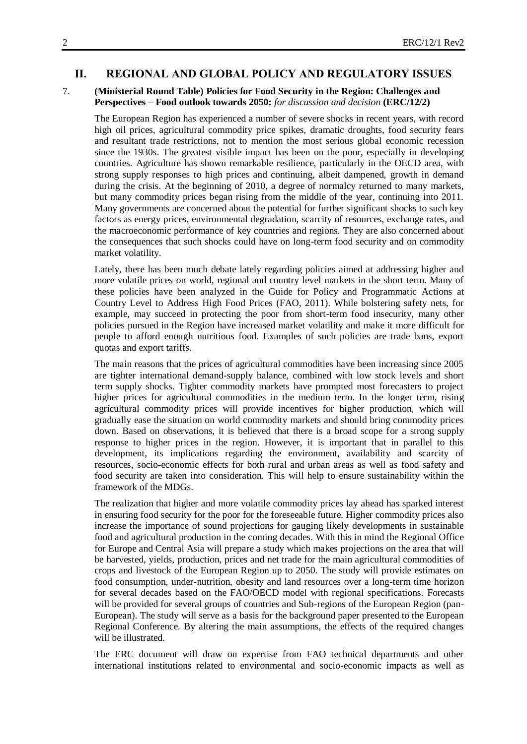#### **II. REGIONAL AND GLOBAL POLICY AND REGULATORY ISSUES**

#### 7. **(Ministerial Round Table) Policies for Food Security in the Region: Challenges and Perspectives – Food outlook towards 2050:** *for discussion and decision* **(ERC/12/2)**

The European Region has experienced a number of severe shocks in recent years, with record high oil prices, agricultural commodity price spikes, dramatic droughts, food security fears and resultant trade restrictions, not to mention the most serious global economic recession since the 1930s. The greatest visible impact has been on the poor, especially in developing countries. Agriculture has shown remarkable resilience, particularly in the OECD area, with strong supply responses to high prices and continuing, albeit dampened, growth in demand during the crisis. At the beginning of 2010, a degree of normalcy returned to many markets, but many commodity prices began rising from the middle of the year, continuing into 2011. Many governments are concerned about the potential for further significant shocks to such key factors as energy prices, environmental degradation, scarcity of resources, exchange rates, and the macroeconomic performance of key countries and regions. They are also concerned about the consequences that such shocks could have on long-term food security and on commodity market volatility.

Lately, there has been much debate lately regarding policies aimed at addressing higher and more volatile prices on world, regional and country level markets in the short term. Many of these policies have been analyzed in the Guide for Policy and Programmatic Actions at Country Level to Address High Food Prices (FAO, 2011). While bolstering safety nets, for example, may succeed in protecting the poor from short-term food insecurity, many other policies pursued in the Region have increased market volatility and make it more difficult for people to afford enough nutritious food. Examples of such policies are trade bans, export quotas and export tariffs.

The main reasons that the prices of agricultural commodities have been increasing since 2005 are tighter international demand-supply balance, combined with low stock levels and short term supply shocks. Tighter commodity markets have prompted most forecasters to project higher prices for agricultural commodities in the medium term. In the longer term, rising agricultural commodity prices will provide incentives for higher production, which will gradually ease the situation on world commodity markets and should bring commodity prices down. Based on observations, it is believed that there is a broad scope for a strong supply response to higher prices in the region. However, it is important that in parallel to this development, its implications regarding the environment, availability and scarcity of resources, socio-economic effects for both rural and urban areas as well as food safety and food security are taken into consideration. This will help to ensure sustainability within the framework of the MDGs.

The realization that higher and more volatile commodity prices lay ahead has sparked interest in ensuring food security for the poor for the foreseeable future. Higher commodity prices also increase the importance of sound projections for gauging likely developments in sustainable food and agricultural production in the coming decades. With this in mind the Regional Office for Europe and Central Asia will prepare a study which makes projections on the area that will be harvested, yields, production, prices and net trade for the main agricultural commodities of crops and livestock of the European Region up to 2050. The study will provide estimates on food consumption, under-nutrition, obesity and land resources over a long-term time horizon for several decades based on the FAO/OECD model with regional specifications. Forecasts will be provided for several groups of countries and Sub-regions of the European Region (pan-European). The study will serve as a basis for the background paper presented to the European Regional Conference. By altering the main assumptions, the effects of the required changes will be illustrated.

The ERC document will draw on expertise from FAO technical departments and other international institutions related to environmental and socio-economic impacts as well as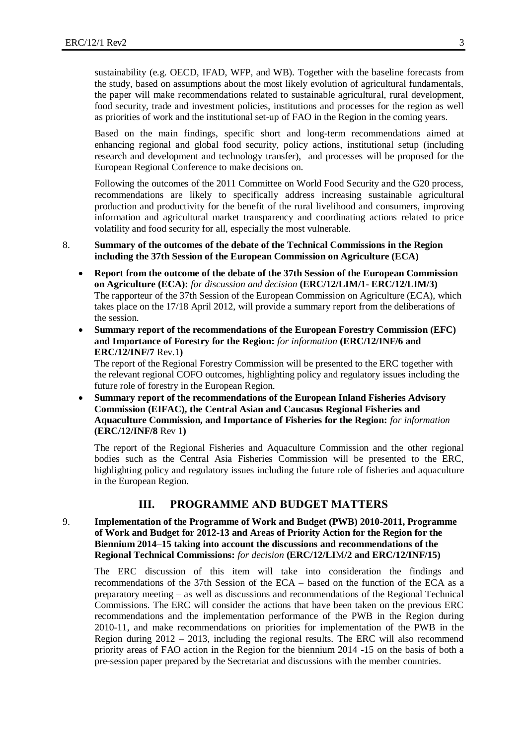sustainability (e.g. OECD, IFAD, WFP, and WB). Together with the baseline forecasts from the study, based on assumptions about the most likely evolution of agricultural fundamentals, the paper will make recommendations related to sustainable agricultural, rural development, food security, trade and investment policies, institutions and processes for the region as well as priorities of work and the institutional set-up of FAO in the Region in the coming years.

Based on the main findings, specific short and long-term recommendations aimed at enhancing regional and global food security, policy actions, institutional setup (including research and development and technology transfer), and processes will be proposed for the European Regional Conference to make decisions on.

Following the outcomes of the 2011 Committee on World Food Security and the G20 process, recommendations are likely to specifically address increasing sustainable agricultural production and productivity for the benefit of the rural livelihood and consumers, improving information and agricultural market transparency and coordinating actions related to price volatility and food security for all, especially the most vulnerable.

- 8. **Summary of the outcomes of the debate of the Technical Commissions in the Region including the 37th Session of the European Commission on Agriculture (ECA)**
	- **Report from the outcome of the debate of the 37th Session of the European Commission on Agriculture (ECA):** *for discussion and decision* **(ERC/12/LIM/1- ERC/12/LIM/3)** The rapporteur of the 37th Session of the European Commission on Agriculture (ECA), which takes place on the 17/18 April 2012, will provide a summary report from the deliberations of the session.
	- **Summary report of the recommendations of the European Forestry Commission (EFC) and Importance of Forestry for the Region:** *for information* **(ERC/12/INF/6 and ERC/12/INF/7** Rev.1**)**

The report of the Regional Forestry Commission will be presented to the ERC together with the relevant regional COFO outcomes, highlighting policy and regulatory issues including the future role of forestry in the European Region.

 **Summary report of the recommendations of the European Inland Fisheries Advisory Commission (EIFAC), the Central Asian and Caucasus Regional Fisheries and Aquaculture Commission, and Importance of Fisheries for the Region:** *for information* **(ERC/12/INF/8** Rev 1**)**

The report of the Regional Fisheries and Aquaculture Commission and the other regional bodies such as the Central Asia Fisheries Commission will be presented to the ERC, highlighting policy and regulatory issues including the future role of fisheries and aquaculture in the European Region.

### **III. PROGRAMME AND BUDGET MATTERS**

9. **Implementation of the Programme of Work and Budget (PWB) 2010-2011, Programme of Work and Budget for 2012-13 and Areas of Priority Action for the Region for the Biennium 2014–15 taking into account the discussions and recommendations of the Regional Technical Commissions:** *for decision* **(ERC/12/LI**M**/2 and ERC/12/INF/15)**

The ERC discussion of this item will take into consideration the findings and recommendations of the 37th Session of the ECA – based on the function of the ECA as a preparatory meeting – as well as discussions and recommendations of the Regional Technical Commissions. The ERC will consider the actions that have been taken on the previous ERC recommendations and the implementation performance of the PWB in the Region during 2010-11, and make recommendations on priorities for implementation of the PWB in the Region during 2012 – 2013, including the regional results. The ERC will also recommend priority areas of FAO action in the Region for the biennium 2014 -15 on the basis of both a pre-session paper prepared by the Secretariat and discussions with the member countries.